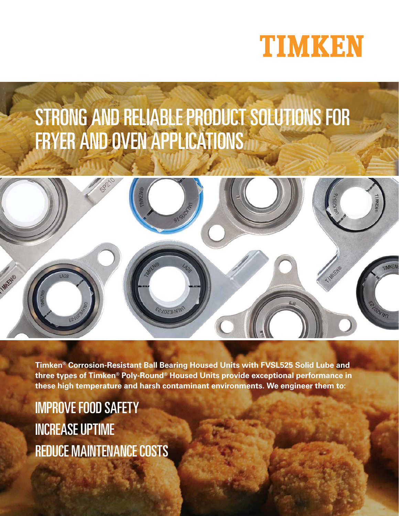

# STRONG AND RELIABLE PRODUCT SOLUTIONS FOR FRYER AND OVEN APPLICATIONS



**Timken® Corrosion-Resistant Ball Bearing Housed Units with FVSL525 Solid Lube and three types of Timken® Poly-Round® Housed Units provide exceptional performance in these high temperature and harsh contaminant environments. We engineer them to:**

IMPROVE FOOD SAFETY INCREASE UPTIME REDUCE MAINTENANCE COSTS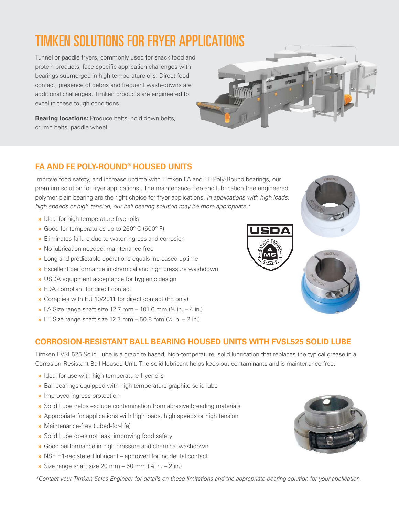## TIMKEN SOLUTIONS FOR FRYER APPLICATIONS

Tunnel or paddle fryers, commonly used for snack food and protein products, face specific application challenges with bearings submerged in high temperature oils. Direct food contact, presence of debris and frequent wash-downs are additional challenges. Timken products are engineered to excel in these tough conditions.

**Bearing locations:** Produce belts, hold down belts, crumb belts, paddle wheel.

### **FA AND FE POLY-ROUND® HOUSED UNITS**

Improve food safety, and increase uptime with Timken FA and FE Poly-Round bearings, our premium solution for fryer applications.. The maintenance free and lubrication free engineered polymer plain bearing are the right choice for fryer applications. In applications with high loads, high speeds or high tension, our ball bearing solution may be more appropriate.\*

- **»** Ideal for high temperature fryer oils
- **»** Good for temperatures up to 260º C (500º F)
- **»** Eliminates failure due to water ingress and corrosion
- **»** No lubrication needed; maintenance free
- **»** Long and predictable operations equals increased uptime
- **»** Excellent performance in chemical and high pressure washdown
- **»** USDA equipment acceptance for hygienic design
- **»** FDA compliant for direct contact
- **»** Complies with EU 10/2011 for direct contact (FE only)
- **»** FA Size range shaft size 12.7 mm 101.6 mm (½ in. 4 in.)
- **»** FE Size range shaft size 12.7 mm 50.8 mm (½ in. 2 in.)

### **CORROSION-RESISTANT BALL BEARING HOUSED UNITS WITH FVSL525 SOLID LUBE**

Timken FVSL525 Solid Lube is a graphite based, high-temperature, solid lubrication that replaces the typical grease in a Corrosion-Resistant Ball Housed Unit. The solid lubricant helps keep out contaminants and is maintenance free.

- **»** Ideal for use with high temperature fryer oils
- **»** Ball bearings equipped with high temperature graphite solid lube
- **»** Improved ingress protection
- **»** Solid Lube helps exclude contamination from abrasive breading materials
- **»** Appropriate for applications with high loads, high speeds or high tension
- **»** Maintenance-free (lubed-for-life)
- **»** Solid Lube does not leak; improving food safety
- **»** Good performance in high pressure and chemical washdown
- **»** NSF H1-registered lubricant approved for incidental contact
- **»** Size range shaft size 20 mm 50 mm (¾ in. 2 in.)

\*Contact your Timken Sales Engineer for details on these limitations and the appropriate bearing solution for your application.







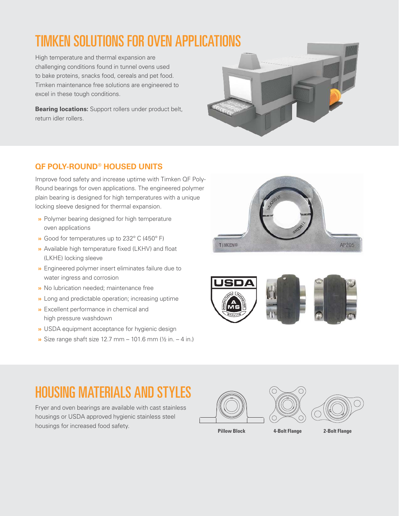## TIMKEN SOLUTIONS FOR OVEN APPLICATIONS

High temperature and thermal expansion are challenging conditions found in tunnel ovens used to bake proteins, snacks food, cereals and pet food. Timken maintenance free solutions are engineered to excel in these tough conditions.

**Bearing locations:** Support rollers under product belt, return idler rollers.



### **QF POLY-ROUND® HOUSED UNITS**

Improve food safety and increase uptime with Timken QF Poly-Round bearings for oven applications. The engineered polymer plain bearing is designed for high temperatures with a unique locking sleeve designed for thermal expansion.

- **»** Polymer bearing designed for high temperature oven applications
- **»** Good for temperatures up to 232º C (450º F)
- **»** Available high temperature fixed (LKHV) and float (LKHE) locking sleeve
- **»** Engineered polymer insert eliminates failure due to water ingress and corrosion
- **»** No lubrication needed; maintenance free
- **»** Long and predictable operation; increasing uptime
- **»** Excellent performance in chemical and high pressure washdown
- **»** USDA equipment acceptance for hygienic design
- **»** Size range shaft size 12.7 mm 101.6 mm (½ in. 4 in.)





### HOUSING MATERIALS AND STYLES

Fryer and oven bearings are available with cast stainless housings or USDA approved hygienic stainless steel housings for increased food safety.